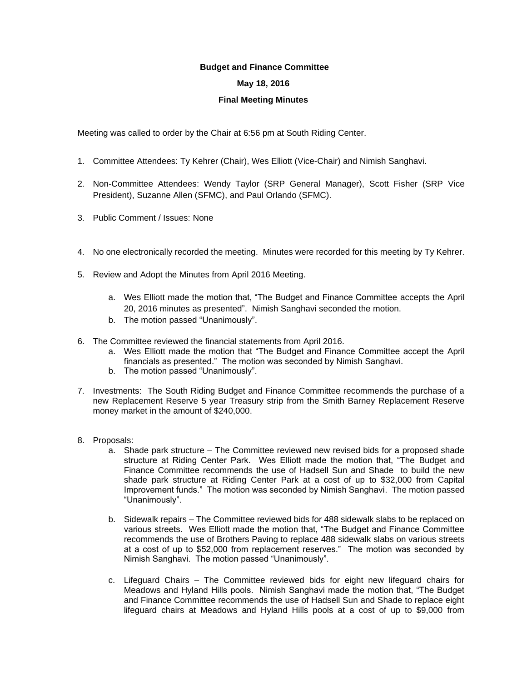## **Budget and Finance Committee**

## **May 18, 2016**

## **Final Meeting Minutes**

Meeting was called to order by the Chair at 6:56 pm at South Riding Center.

- 1. Committee Attendees: Ty Kehrer (Chair), Wes Elliott (Vice-Chair) and Nimish Sanghavi.
- 2. Non-Committee Attendees: Wendy Taylor (SRP General Manager), Scott Fisher (SRP Vice President), Suzanne Allen (SFMC), and Paul Orlando (SFMC).
- 3. Public Comment / Issues: None
- 4. No one electronically recorded the meeting. Minutes were recorded for this meeting by Ty Kehrer.
- 5. Review and Adopt the Minutes from April 2016 Meeting.
	- a. Wes Elliott made the motion that, "The Budget and Finance Committee accepts the April 20, 2016 minutes as presented". Nimish Sanghavi seconded the motion.
	- b. The motion passed "Unanimously".
- 6. The Committee reviewed the financial statements from April 2016.
	- a. Wes Elliott made the motion that "The Budget and Finance Committee accept the April financials as presented." The motion was seconded by Nimish Sanghavi.
	- b. The motion passed "Unanimously".
- 7. Investments: The South Riding Budget and Finance Committee recommends the purchase of a new Replacement Reserve 5 year Treasury strip from the Smith Barney Replacement Reserve money market in the amount of \$240,000.
- 8. Proposals:
	- a. Shade park structure The Committee reviewed new revised bids for a proposed shade structure at Riding Center Park. Wes Elliott made the motion that, "The Budget and Finance Committee recommends the use of Hadsell Sun and Shade to build the new shade park structure at Riding Center Park at a cost of up to \$32,000 from Capital Improvement funds." The motion was seconded by Nimish Sanghavi. The motion passed "Unanimously".
	- b. Sidewalk repairs The Committee reviewed bids for 488 sidewalk slabs to be replaced on various streets. Wes Elliott made the motion that, "The Budget and Finance Committee recommends the use of Brothers Paving to replace 488 sidewalk slabs on various streets at a cost of up to \$52,000 from replacement reserves." The motion was seconded by Nimish Sanghavi. The motion passed "Unanimously".
	- c. Lifeguard Chairs The Committee reviewed bids for eight new lifeguard chairs for Meadows and Hyland Hills pools. Nimish Sanghavi made the motion that, "The Budget and Finance Committee recommends the use of Hadsell Sun and Shade to replace eight lifeguard chairs at Meadows and Hyland Hills pools at a cost of up to \$9,000 from